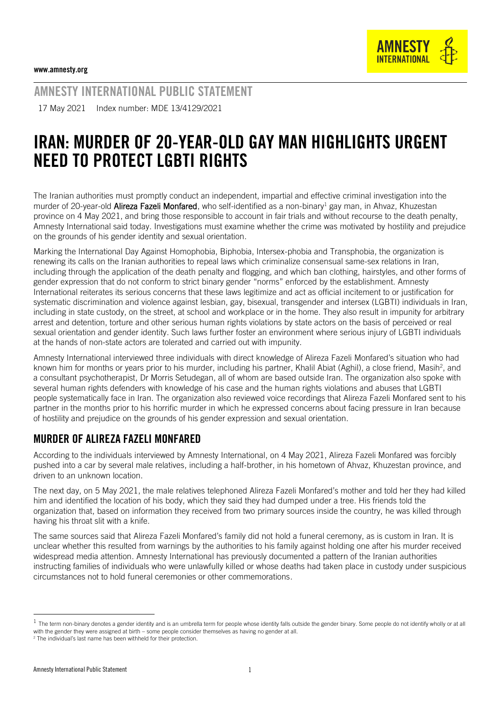

AMNESTY INTERNATIONAL PUBLIC STATEMENT

17 May 2021 Index number: MDE 13/4129/2021

# IRAN: MURDER OF 20-YEAR-OLD GAY MAN HIGHLIGHTS URGENT NEED TO PROTECT LGBTI RIGHTS

The Iranian authorities must promptly conduct an independent, impartial and effective criminal investigation into the murder of 20-year-old Alireza Fazeli Monfared, who self-identified as a non-binary<sup>1</sup> gay man, in Ahvaz, Khuzestan province on 4 May 2021, and bring those responsible to account in fair trials and without recourse to the death penalty, Amnesty International said today. Investigations must examine whether the crime was motivated by hostility and prejudice on the grounds of his gender identity and sexual orientation.

Marking the International Day Against Homophobia, Biphobia, Intersex-phobia and Transphobia, the organization is renewing its calls on the Iranian authorities to repeal laws which criminalize consensual same-sex relations in Iran, including through the application of the death penalty and flogging, and which ban clothing, hairstyles, and other forms of gender expression that do not conform to strict binary gender "norms" enforced by the establishment. Amnesty International reiterates its serious concerns that these laws legitimize and act as official incitement to or justification for systematic discrimination and violence against lesbian, gay, bisexual, transgender and intersex (LGBTI) individuals in Iran, including in state custody, on the street, at school and workplace or in the home. They also result in impunity for arbitrary arrest and detention, torture and other serious human rights violations by state actors on the basis of perceived or real sexual orientation and gender identity. Such laws further foster an environment where serious injury of LGBTI individuals at the hands of non-state actors are tolerated and carried out with impunity.

Amnesty International interviewed three individuals with direct knowledge of Alireza Fazeli Monfared's situation who had known him for months or years prior to his murder, including his partner, Khalil Abiat (Aghil), a close friend, Masih<sup>2</sup>, and a consultant psychotherapist, Dr Morris Setudegan, all of whom are based outside Iran. The organization also spoke with several human rights defenders with knowledge of his case and the human rights violations and abuses that LGBTI people systematically face in Iran. The organization also reviewed voice recordings that Alireza Fazeli Monfared sent to his partner in the months prior to his horrific murder in which he expressed concerns about facing pressure in Iran because of hostility and prejudice on the grounds of his gender expression and sexual orientation.

### MURDER OF ALIREZA FAZELI MONFARED

According to the individuals interviewed by Amnesty International, on 4 May 2021, Alireza Fazeli Monfared was forcibly pushed into a car by several male relatives, including a half-brother, in his hometown of Ahvaz, Khuzestan province, and driven to an unknown location.

The next day, on 5 May 2021, the male relatives telephoned Alireza Fazeli Monfared's mother and told her they had killed him and identified the location of his body, which they said they had dumped under a tree. His friends told the organization that, based on information they received from two primary sources inside the country, he was killed through having his throat slit with a knife.

The same sources said that Alireza Fazeli Monfared's family did not hold a funeral ceremony, as is custom in Iran. It is unclear whether this resulted from warnings by the authorities to his family against holding one after his murder received widespread media attention. Amnesty International has previously documented a pattern of the Iranian authorities instructing families of individuals who were unlawfully killed or whose deaths had taken place in custody under suspicious circumstances not to hold funeral ceremonies or other commemorations.

 $^1$  The term non-binary denotes a gender identity and is an umbrella term for people whose identity falls outside the gender binary. Some people do not identify wholly or at all with the gender they were assigned at birth – some people consider themselves as having no gender at all.

<sup>2</sup> The individual's last name has been withheld for their protection.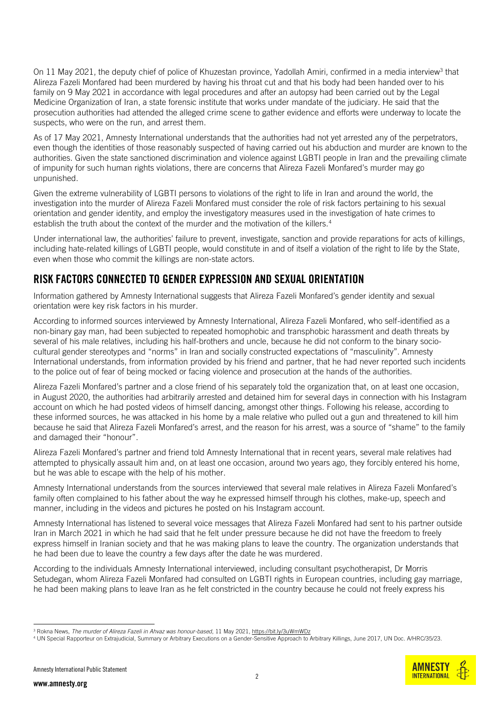On 11 May 2021, the deputy chief of police of Khuzestan province, Yadollah Amiri, confirmed in a media interview<sup>3</sup> that Alireza Fazeli Monfared had been murdered by having his throat cut and that his body had been handed over to his family on 9 May 2021 in accordance with legal procedures and after an autopsy had been carried out by the Legal Medicine Organization of Iran, a state forensic institute that works under mandate of the judiciary. He said that the prosecution authorities had attended the alleged crime scene to gather evidence and efforts were underway to locate the suspects, who were on the run, and arrest them.

As of 17 May 2021, Amnesty International understands that the authorities had not yet arrested any of the perpetrators, even though the identities of those reasonably suspected of having carried out his abduction and murder are known to the authorities. Given the state sanctioned discrimination and violence against LGBTI people in Iran and the prevailing climate of impunity for such human rights violations, there are concerns that Alireza Fazeli Monfared's murder may go unpunished.

Given the extreme vulnerability of LGBTI persons to violations of the right to life in Iran and around the world, the investigation into the murder of Alireza Fazeli Monfared must consider the role of risk factors pertaining to his sexual orientation and gender identity, and employ the investigatory measures used in the investigation of hate crimes to establish the truth about the context of the murder and the motivation of the killers.<sup>4</sup>

Under international law, the authorities' failure to prevent, investigate, sanction and provide reparations for acts of killings, including hate-related killings of LGBTI people, would constitute in and of itself a violation of the right to life by the State, even when those who commit the killings are non-state actors.

#### RISK FACTORS CONNECTED TO GENDER EXPRESSION AND SEXUAL ORIENTATION

Information gathered by Amnesty International suggests that Alireza Fazeli Monfared's gender identity and sexual orientation were key risk factors in his murder.

According to informed sources interviewed by Amnesty International, Alireza Fazeli Monfared, who self-identified as a non-binary gay man, had been subjected to repeated homophobic and transphobic harassment and death threats by several of his male relatives, including his half-brothers and uncle, because he did not conform to the binary sociocultural gender stereotypes and "norms" in Iran and socially constructed expectations of "masculinity". Amnesty International understands, from information provided by his friend and partner, that he had never reported such incidents to the police out of fear of being mocked or facing violence and prosecution at the hands of the authorities.

Alireza Fazeli Monfared's partner and a close friend of his separately told the organization that, on at least one occasion, in August 2020, the authorities had arbitrarily arrested and detained him for several days in connection with his Instagram account on which he had posted videos of himself dancing, amongst other things. Following his release, according to these informed sources, he was attacked in his home by a male relative who pulled out a gun and threatened to kill him because he said that Alireza Fazeli Monfared's arrest, and the reason for his arrest, was a source of "shame" to the family and damaged their "honour".

Alireza Fazeli Monfared's partner and friend told Amnesty International that in recent years, several male relatives had attempted to physically assault him and, on at least one occasion, around two years ago, they forcibly entered his home, but he was able to escape with the help of his mother.

Amnesty International understands from the sources interviewed that several male relatives in Alireza Fazeli Monfared's family often complained to his father about the way he expressed himself through his clothes, make-up, speech and manner, including in the videos and pictures he posted on his Instagram account.

Amnesty International has listened to several voice messages that Alireza Fazeli Monfared had sent to his partner outside Iran in March 2021 in which he had said that he felt under pressure because he did not have the freedom to freely express himself in Iranian society and that he was making plans to leave the country. The organization understands that he had been due to leave the country a few days after the date he was murdered.

According to the individuals Amnesty International interviewed, including consultant psychotherapist, Dr Morris Setudegan, whom Alireza Fazeli Monfared had consulted on LGBTI rights in European countries, including gay marriage, he had been making plans to leave Iran as he felt constricted in the country because he could not freely express his

<sup>3</sup> Rokna News, *The murder of Alireza Fazeli in Ahvaz was honour-based*, 11 May 2021[, https://bit.ly/3uWmWDz](https://bit.ly/3uWmWDz) 

<sup>4</sup> UN Special Rapporteur on Extrajudicial, Summary or Arbitrary Executions on a Gender-Sensitive Approach to Arbitrary Killings, June 2017, UN Doc. A/HRC/35/23.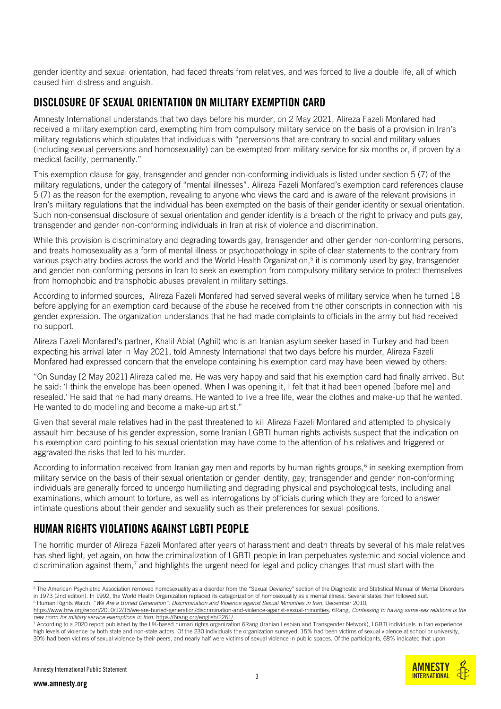gender identity and sexual orientation, had faced threats from relatives, and was forced to live a double life, all of which caused him distress and anguish.

#### DISCLOSURE OF SEXUAL ORIENTATION ON MILITARY EXEMPTION CARD

Amnesty International understands that two days before his murder, on 2 May 2021, Alireza Fazeli Monfared had received a military exemption card, exempting him from compulsory military service on the basis of a provision in Iran's military regulations which stipulates that individuals with "perversions that are contrary to social and military values (including sexual perversions and homosexuality) can be exempted from military service for six months or, if proven by a medical facility, permanently."

This exemption clause for gay, transgender and gender non-conforming individuals is listed under section 5 (7) of the military regulations, under the category of "mental illnesses". Alireza Fazeli Monfared's exemption card references clause 5 (7) as the reason for the exemption, revealing to anyone who views the card and is aware of the relevant provisions in Iran's military regulations that the individual has been exempted on the basis of their gender identity or sexual orientation. Such non-consensual disclosure of sexual orientation and gender identity is a breach of the right to privacy and puts gay, transgender and gender non-conforming individuals in Iran at risk of violence and discrimination.

While this provision is discriminatory and degrading towards gay, transgender and other gender non-conforming persons, and treats homosexuality as a form of mental illness or psychopathology in spite of clear statements to the contrary from various psychiatry bodies across the world and the World Health Organization,<sup>5</sup> it is commonly used by gay, transgender and gender non-conforming persons in Iran to seek an exemption from compulsory military service to protect themselves from homophobic and transphobic abuses prevalent in military settings.

According to informed sources, Alireza Fazeli Monfared had served several weeks of military service when he turned 18 before applying for an exemption card because of the abuse he received from the other conscripts in connection with his gender expression. The organization understands that he had made complaints to officials in the army but had received no support.

Alireza Fazeli Monfared's partner, Khalil Abiat (Aghil) who is an Iranian asylum seeker based in Turkey and had been expecting his arrival later in May 2021, told Amnesty International that two days before his murder, Alireza Fazeli Monfared had expressed concern that the envelope containing his exemption card may have been viewed by others:

"On Sunday [2 May 2021] Alireza called me. He was very happy and said that his exemption card had finally arrived. But he said: 'I think the envelope has been opened. When I was opening it, I felt that it had been opened [before me] and resealed.' He said that he had many dreams. He wanted to live a free life, wear the clothes and make-up that he wanted. He wanted to do modelling and become a make-up artist."

Given that several male relatives had in the past threatened to kill Alireza Fazeli Monfared and attempted to physically assault him because of his gender expression, some Iranian LGBTI human rights activists suspect that the indication on his exemption card pointing to his sexual orientation may have come to the attention of his relatives and triggered or aggravated the risks that led to his murder.

According to information received from Iranian gay men and reports by human rights groups,<sup>6</sup> in seeking exemption from military service on the basis of their sexual orientation or gender identity, gay, transgender and gender non-conforming individuals are generally forced to undergo humiliating and degrading physical and psychological tests, including anal examinations, which amount to torture, as well as interrogations by officials during which they are forced to answer intimate questions about their gender and sexuality such as their preferences for sexual positions.

## HUMAN RIGHTS VIOLATIONS AGAINST LGBTI PEOPLE

The horrific murder of Alireza Fazeli Monfared after years of harassment and death threats by several of his male relatives has shed light, yet again, on how the criminalization of LGBTI people in Iran perpetuates systemic and social violence and discrimination against them,<sup>7</sup> and highlights the urgent need for legal and policy changes that must start with the

<sup>&</sup>lt;sup>5</sup> The American Psychiatric Association removed homosexuality as a disorder from the "Sexual Deviancy" section of the Diagnostic and Statistical Manual of Mental Disorders in 1973 (2nd edition). In 1992, the World Health Organization replaced its categorization of homosexuality as a mental illness. Several states then followed suit. <sup>6</sup> Human Rights Watch, "*We Are a Buried Generation": Discrimination and Violence against Sexual Minorities in Iran*, December 2010,

[https://www.hrw.org/report/2010/12/15/we-are-buried-generation/discrimination-and-violence-against-sexual-minorities;](https://www.hrw.org/report/2010/12/15/we-are-buried-generation/discrimination-and-violence-against-sexual-minorities) 6Rang, *Confessing to having same-sex relations is the new norm for military service exemptions in Iran*[, https://6rang.org/english/2261/](https://6rang.org/english/2261/)

<sup>7</sup> According to a 2020 report published by the UK-based human rights organization 6Rang (Iranian Lesbian and Transgender Network), LGBTI individuals in Iran experience high levels of violence by both state and non-state actors. Of the 230 individuals the organization surveyed, 15% had been victims of sexual violence at school or university, 30% had been victims of sexual violence by their peers, and nearly half were victims of sexual violence in public spaces. Of the participants, 68% indicated that upon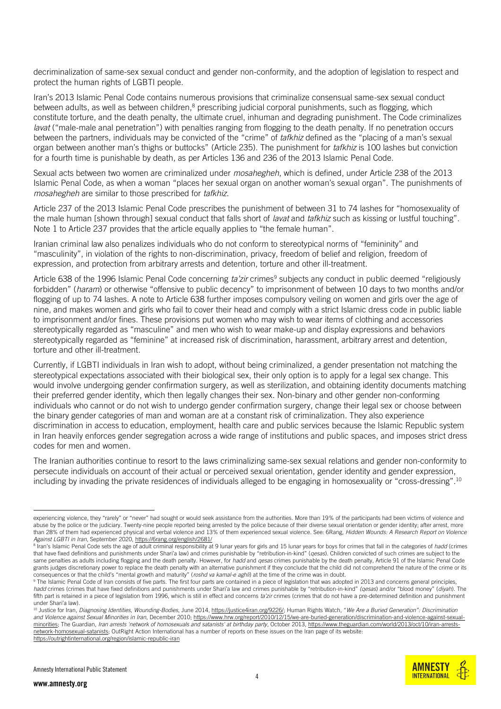decriminalization of same-sex sexual conduct and gender non-conformity, and the adoption of legislation to respect and protect the human rights of LGBTI people.

Iran's 2013 Islamic Penal Code contains numerous provisions that criminalize consensual same-sex sexual conduct between adults, as well as between children,<sup>8</sup> prescribing judicial corporal punishments, such as flogging, which constitute torture, and the death penalty, the ultimate cruel, inhuman and degrading punishment. The Code criminalizes *lavat* ("male-male anal penetration") with penalties ranging from flogging to the death penalty. If no penetration occurs between the partners, individuals may be convicted of the "crime" of *tafkhiz* defined as the "placing of a man's sexual organ between another man's thighs or buttocks" (Article 235). The punishment for *tafkhiz* is 100 lashes but conviction for a fourth time is punishable by death, as per Articles 136 and 236 of the 2013 Islamic Penal Code.

Sexual acts between two women are criminalized under *mosahegheh*, which is defined, under Article 238 of the 2013 Islamic Penal Code, as when a woman "places her sexual organ on another woman's sexual organ". The punishments of *mosahegheh* are similar to those prescribed for *tafkhiz*.

Article 237 of the 2013 Islamic Penal Code prescribes the punishment of between 31 to 74 lashes for "homosexuality of the male human [shown through] sexual conduct that falls short of *lavat* and *tafkhiz* such as kissing or lustful touching". Note 1 to Article 237 provides that the article equally applies to "the female human".

Iranian criminal law also penalizes individuals who do not conform to stereotypical norms of "femininity" and "masculinity", in violation of the rights to non-discrimination, privacy, freedom of belief and religion, freedom of expression, and protection from arbitrary arrests and detention, torture and other ill-treatment.

Article 638 of the 1996 Islamic Penal Code concerning *ta'zir* crimes<sup>9</sup> subjects any conduct in public deemed "religiously forbidden" (*haram*) or otherwise "offensive to public decency" to imprisonment of between 10 days to two months and/or flogging of up to 74 lashes. A note to Article 638 further imposes compulsory veiling on women and girls over the age of nine, and makes women and girls who fail to cover their head and comply with a strict Islamic dress code in public liable to imprisonment and/or fines. These provisions put women who may wish to wear items of clothing and accessories stereotypically regarded as "masculine" and men who wish to wear make-up and display expressions and behaviors stereotypically regarded as "feminine" at increased risk of discrimination, harassment, arbitrary arrest and detention, torture and other ill-treatment.

Currently, if LGBTI individuals in Iran wish to adopt, without being criminalized, a gender presentation not matching the stereotypical expectations associated with their biological sex, their only option is to apply for a legal sex change. This would involve undergoing gender confirmation surgery, as well as sterilization, and obtaining identity documents matching their preferred gender identity, which then legally changes their sex. Non-binary and other gender non-conforming individuals who cannot or do not wish to undergo gender confirmation surgery, change their legal sex or choose between the binary gender categories of man and woman are at a constant risk of criminalization. They also experience discrimination in access to education, employment, health care and public services because the Islamic Republic system in Iran heavily enforces gender segregation across a wide range of institutions and public spaces, and imposes strict dress codes for men and women.

The Iranian authorities continue to resort to the laws criminalizing same-sex sexual relations and gender non-conformity to persecute individuals on account of their actual or perceived sexual orientation, gender identity and gender expression, including by invading the private residences of individuals alleged to be engaging in homosexuality or "cross-dressing". 10



experiencing violence, they "rarely" or "never" had sought or would seek assistance from the authorities. More than 19% of the participants had been victims of violence and abuse by the police or the judiciary. Twenty-nine people reported being arrested by the police because of their diverse sexual orientation or gender identity; after arrest, more than 28% of them had experienced physical and verbal violence and 13% of them experienced sexual violence. See: 6Rang, *Hidden Wounds: A Research Report on Violence Against LGBTI in Iran*, September 2020[, https://6rang.org/english/2681/](https://6rang.org/english/2681/)

<sup>&</sup>lt;sup>8</sup> Iran's Islamic Penal Code sets the age of adult criminal responsibility at 9 lunar years for girls and 15 lunar years for boys for crimes that fall in the categories of *hadd* (crimes that have fixed definitions and punishments under Shari'a law) and crimes punishable by "retribution-in-kind" (*qesas*). Children convicted of such crimes are subject to the same penalties as adults including flogging and the death penalty. However, for *hadd* and *qesas* crimes punishable by the death penalty, Article 91 of the Islamic Penal Code grants judges discretionary power to replace the death penalty with an alternative punishment if they conclude that the child did not comprehend the nature of the crime or its consequences or that the child's "mental growth and maturity" (*roshd va kamal-e aghli*) at the time of the crime was in doubt.

<sup>&</sup>lt;sup>9</sup> The Islamic Penal Code of Iran consists of five parts. The first four parts are contained in a piece of legislation that was adopted in 2013 and concerns general principles, *hadd* crimes (crimes that have fixed definitions and punishments under Shari'a law and crimes punishable by "retribution-in-kind" *(qesas*) and/or "blood money" (*diyah*). The fifth part is retained in a piece of legislation from 1996, which is still in effect and concerns *ta'zir* crimes (crimes that do not have a pre-determined definition and punishment under Shari'a law).

<sup>&</sup>lt;sup>10</sup> Justice for Iran, *Diagnosing Identities, Wounding-Bodies*, June 2014[, https://justice4iran.org/9226/;](https://justice4iran.org/9226/) Human Rights Watch, "We Are a Buried Generation": Discrimination *and Violence against Sexual Minorities in Iran*, December 2010; [https://www.hrw.org/report/2010/12/15/we-are-buried-generation/discrimination-and-violence-against-sexual](https://www.hrw.org/report/2010/12/15/we-are-buried-generation/discrimination-and-violence-against-sexual-minorities)[minorities;](https://www.hrw.org/report/2010/12/15/we-are-buried-generation/discrimination-and-violence-against-sexual-minorities) The Guardian, *Iran arrests 'network of homosexuals and satanists' at birthday party*, October 2013[, https://www.theguardian.com/world/2013/oct/10/iran-arrests](https://www.theguardian.com/world/2013/oct/10/iran-arrests-network-homosexual-satanists)[network-homosexual-satanists;](https://www.theguardian.com/world/2013/oct/10/iran-arrests-network-homosexual-satanists) OutRight Action International has a number of reports on these issues on the Iran page of its website: <https://outrightinternational.org/region/islamic-republic-iran>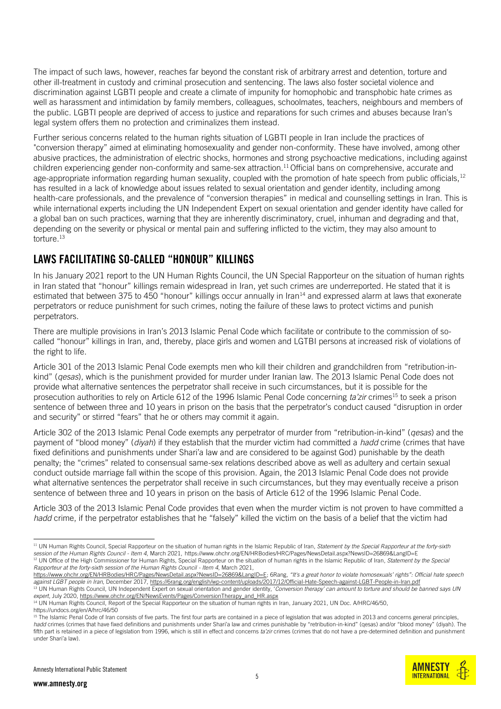The impact of such laws, however, reaches far beyond the constant risk of arbitrary arrest and detention, torture and other ill-treatment in custody and criminal prosecution and sentencing. The laws also foster societal violence and discrimination against LGBTI people and create a climate of impunity for homophobic and transphobic hate crimes as well as harassment and intimidation by family members, colleagues, schoolmates, teachers, neighbours and members of the public. LGBTI people are deprived of access to justice and reparations for such crimes and abuses because Iran's legal system offers them no protection and criminalizes them instead.

Further serious concerns related to the human rights situation of LGBTI people in Iran include the practices of "conversion therapy" aimed at eliminating homosexuality and gender non-conformity. These have involved, among other abusive practices, the administration of electric shocks, hormones and strong psychoactive medications, including against children experiencing gender non-conformity and same-sex attraction. <sup>11</sup> Official bans on comprehensive, accurate and age-appropriate information regarding human sexuality, coupled with the promotion of hate speech from public officials, $12$ has resulted in a lack of knowledge about issues related to sexual orientation and gender identity, including among health-care professionals, and the prevalence of "conversion therapies" in medical and counselling settings in Iran. This is while international experts including the UN Independent Expert on sexual orientation and gender identity have called for a global ban on such practices, warning that they are inherently discriminatory, cruel, inhuman and degrading and that, depending on the severity or physical or mental pain and suffering inflicted to the victim, they may also amount to torture.<sup>13</sup>

#### LAWS FACILITATING SO-CALLED "HONOUR" KILLINGS

In his January 2021 report to the UN Human Rights Council, the UN Special Rapporteur on the situation of human rights in Iran stated that "honour" killings remain widespread in Iran, yet such crimes are underreported. He stated that it is estimated that between 375 to 450 "honour" killings occur annually in Iran $14$  and expressed alarm at laws that exonerate perpetrators or reduce punishment for such crimes, noting the failure of these laws to protect victims and punish perpetrators.

There are multiple provisions in Iran's 2013 Islamic Penal Code which facilitate or contribute to the commission of socalled "honour" killings in Iran, and, thereby, place girls and women and LGTBI persons at increased risk of violations of the right to life.

Article 301 of the 2013 Islamic Penal Code exempts men who kill their children and grandchildren from "retribution-inkind" (*qesas*), which is the punishment provided for murder under Iranian law. The 2013 Islamic Penal Code does not provide what alternative sentences the perpetrator shall receive in such circumstances, but it is possible for the prosecution authorities to rely on Article 612 of the 1996 Islamic Penal Code concerning *ta'zir* crimes<sup>15</sup> to seek a prison sentence of between three and 10 years in prison on the basis that the perpetrator's conduct caused "disruption in order and security" or stirred "fears" that he or others may commit it again.

Article 302 of the 2013 Islamic Penal Code exempts any perpetrator of murder from "retribution-in-kind" (*qesas*) and the payment of "blood money" (*diyah*) if they establish that the murder victim had committed a *hadd* crime (crimes that have fixed definitions and punishments under Shari'a law and are considered to be against God) punishable by the death penalty; the "crimes" related to consensual same-sex relations described above as well as adultery and certain sexual conduct outside marriage fall within the scope of this provision. Again, the 2013 Islamic Penal Code does not provide what alternative sentences the perpetrator shall receive in such circumstances, but they may eventually receive a prison sentence of between three and 10 years in prison on the basis of Article 612 of the 1996 Islamic Penal Code.

Article 303 of the 2013 Islamic Penal Code provides that even when the murder victim is not proven to have committed a *hadd* crime, if the perpetrator establishes that he "falsely" killed the victim on the basis of a belief that the victim had



<sup>11</sup> UN Human Rights Council, Special Rapporteur on the situation of human rights in the Islamic Republic of Iran, *Statement by the Special Rapporteur at the forty-sixth session of the Human Rights Council - Item 4*, March 2021, <https://www.ohchr.org/EN/HRBodies/HRC/Pages/NewsDetail.aspx?NewsID=26869&LangID=E> <sup>12</sup> UN Office of the High Commissioner for Human Rights, Special Rapporteur on the situation of human rights in the Islamic Republic of Iran, *Statement by the Special Rapporteur at the forty-sixth session of the Human Rights Council - Item 4*, March 2021,

https://www.ohchr.org/EN/HRBodies/HRC/Pages/NewsDetail.aspx?NewsID=26869&LangID=E; 6Rang, *"It's a great honor to violate homosexuals' rights": Official hate speech against LGBT people in Iran*, December 2017[, https://6rang.org/english/wp-content/uploads/2017/12/Official-Hate-Speech-against-LGBT-People-in-Iran.pdf](https://6rang.org/english/wp-content/uploads/2017/12/Official-Hate-Speech-against-LGBT-People-in-Iran.pdf) <sup>13</sup> UN Human Rights Council, UN Independent Expert on sexual orientation and gender identity, 'Conversion therapy' can amount to torture and should be banned says UN

*expert*, July 2020, [https://www.ohchr.org/EN/NewsEvents/Pages/ConversionTherapy\\_and\\_HR.aspx](https://www.ohchr.org/EN/NewsEvents/Pages/ConversionTherapy_and_HR.aspx) <sup>14</sup> UN Human Rights Council, Report of the Special Rapporteur on the situation of human rights in Iran, January 2021, UN Doc. A/HRC/46/50,

<https://undocs.org/en/A/hrc/46/50>

<sup>&</sup>lt;sup>15</sup> The Islamic Penal Code of Iran consists of five parts. The first four parts are contained in a piece of legislation that was adopted in 2013 and concerns general principles, *hadd* crimes (crimes that have fixed definitions and punishments under Shari'a law and crimes punishable by "retribution-in-kind" (qesas) and/or "blood money" (diyah). The fifth part is retained in a piece of legislation from 1996, which is still in effect and concerns ta'zir crimes (crimes that do not have a pre-determined definition and punishment under Shari'a law).